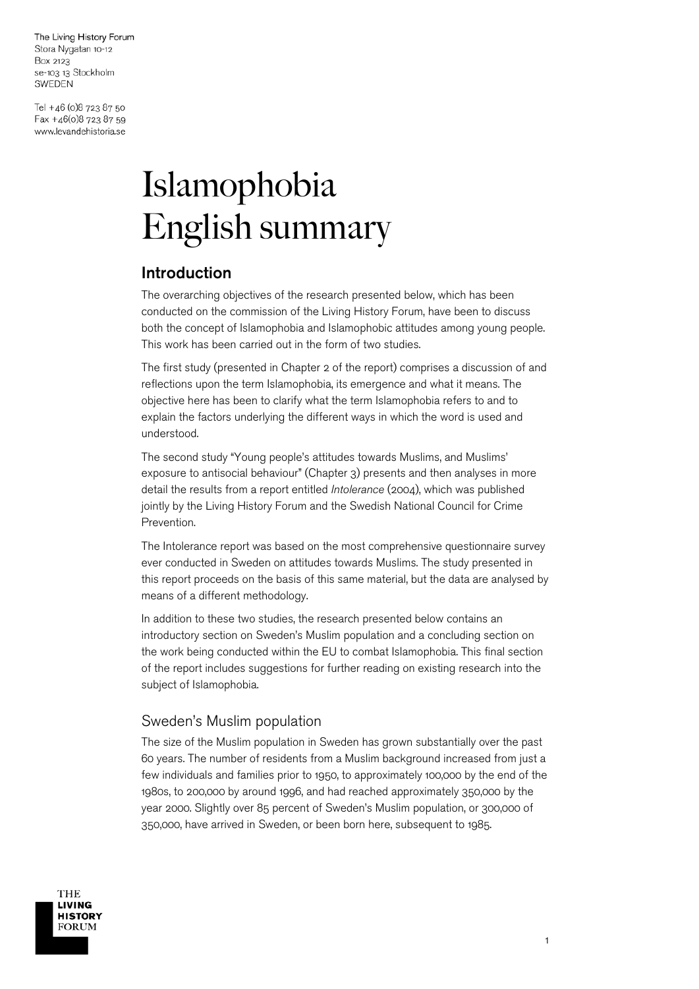Tel +46 (0)8 723 87 50 Fax +46(0)8 723 87 59 www.levandehistoria.se

# Islamophobia English summary

# Introduction

The overarching objectives of the research presented below, which has been conducted on the commission of the Living History Forum, have been to discuss both the concept of Islamophobia and Islamophobic attitudes among young people. This work has been carried out in the form of two studies.

The first study (presented in Chapter 2 of the report) comprises a discussion of and reflections upon the term Islamophobia, its emergence and what it means. The objective here has been to clarify what the term Islamophobia refers to and to explain the factors underlying the different ways in which the word is used and understood.

The second study "Young people's attitudes towards Muslims, and Muslims' exposure to antisocial behaviour" (Chapter 3) presents and then analyses in more detail the results from a report entitled *Intolerance* (2004), which was published jointly by the Living History Forum and the Swedish National Council for Crime Prevention.

The Intolerance report was based on the most comprehensive questionnaire survey ever conducted in Sweden on attitudes towards Muslims. The study presented in this report proceeds on the basis of this same material, but the data are analysed by means of a different methodology.

In addition to these two studies, the research presented below contains an introductory section on Sweden's Muslim population and a concluding section on the work being conducted within the EU to combat Islamophobia. This final section of the report includes suggestions for further reading on existing research into the subject of Islamophobia.

## Sweden's Muslim population

The size of the Muslim population in Sweden has grown substantially over the past 60 years. The number of residents from a Muslim background increased from just a few individuals and families prior to 1950, to approximately 100,000 by the end of the 1980s, to 200,000 by around 1996, and had reached approximately 350,000 by the year 2000. Slightly over 85 percent of Sweden's Muslim population, or 300,000 of 350,000, have arrived in Sweden, or been born here, subsequent to 1985.

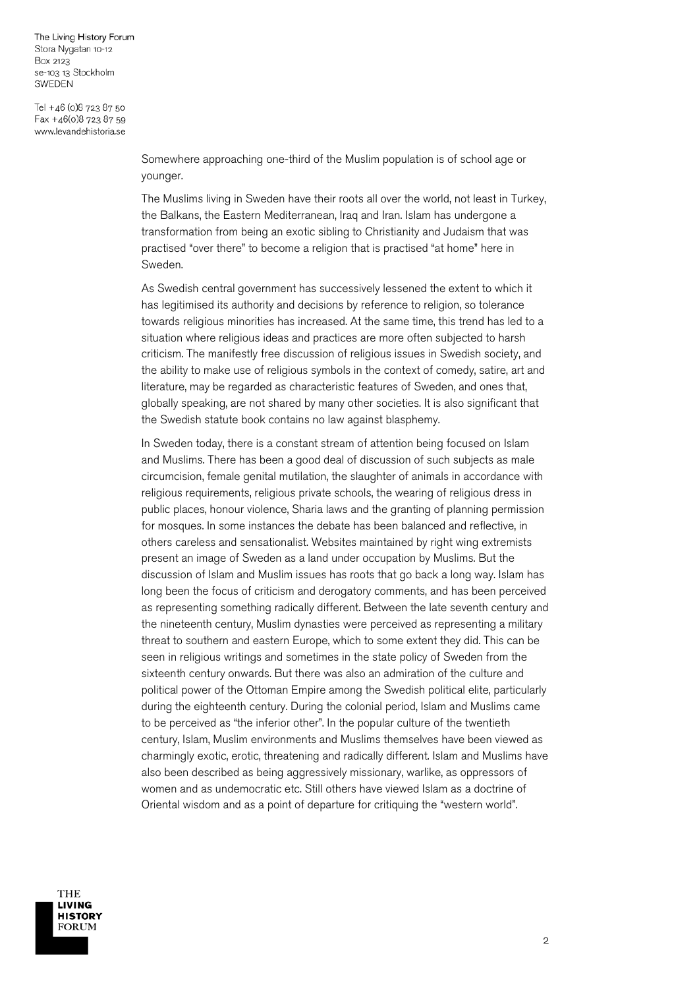Tel +46 (0)8 723 87 50 Fax +46(0)8 723 87 59 www.levandehistoria.se

> Somewhere approaching one-third of the Muslim population is of school age or younger.

The Muslims living in Sweden have their roots all over the world, not least in Turkey, the Balkans, the Eastern Mediterranean, Iraq and Iran. Islam has undergone a transformation from being an exotic sibling to Christianity and Judaism that was practised "over there" to become a religion that is practised "at home" here in Sweden.

As Swedish central government has successively lessened the extent to which it has legitimised its authority and decisions by reference to religion, so tolerance towards religious minorities has increased. At the same time, this trend has led to a situation where religious ideas and practices are more often subjected to harsh criticism. The manifestly free discussion of religious issues in Swedish society, and the ability to make use of religious symbols in the context of comedy, satire, art and literature, may be regarded as characteristic features of Sweden, and ones that, globally speaking, are not shared by many other societies. It is also significant that the Swedish statute book contains no law against blasphemy.

In Sweden today, there is a constant stream of attention being focused on Islam and Muslims. There has been a good deal of discussion of such subjects as male circumcision, female genital mutilation, the slaughter of animals in accordance with religious requirements, religious private schools, the wearing of religious dress in public places, honour violence, Sharia laws and the granting of planning permission for mosques. In some instances the debate has been balanced and reflective, in others careless and sensationalist. Websites maintained by right wing extremists present an image of Sweden as a land under occupation by Muslims. But the discussion of Islam and Muslim issues has roots that go back a long way. Islam has long been the focus of criticism and derogatory comments, and has been perceived as representing something radically different. Between the late seventh century and the nineteenth century, Muslim dynasties were perceived as representing a military threat to southern and eastern Europe, which to some extent they did. This can be seen in religious writings and sometimes in the state policy of Sweden from the sixteenth century onwards. But there was also an admiration of the culture and political power of the Ottoman Empire among the Swedish political elite, particularly during the eighteenth century. During the colonial period, Islam and Muslims came to be perceived as "the inferior other". In the popular culture of the twentieth century, Islam, Muslim environments and Muslims themselves have been viewed as charmingly exotic, erotic, threatening and radically different. Islam and Muslims have also been described as being aggressively missionary, warlike, as oppressors of women and as undemocratic etc. Still others have viewed Islam as a doctrine of Oriental wisdom and as a point of departure for critiquing the "western world".

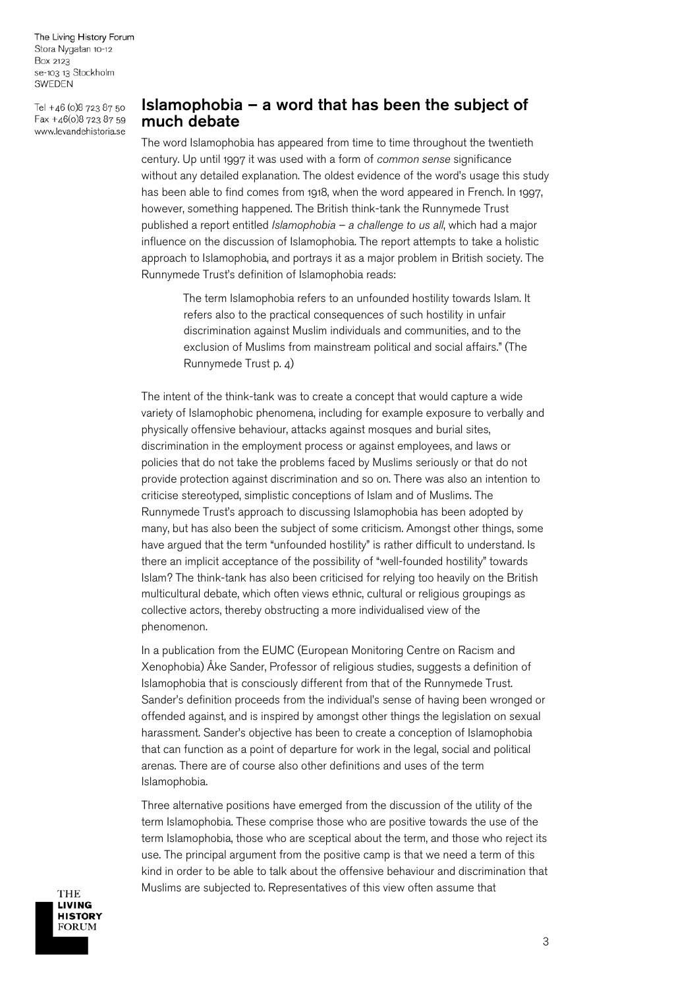Tel +46 (0)8 723 87 50 Fax +46(0)8 723 87 59 www.levandehistoria.se

## Islamophobia  $-$  a word that has been the subject of much debate

The word Islamophobia has appeared from time to time throughout the twentieth century. Up until 1997 it was used with a form of *common sense* significance without any detailed explanation. The oldest evidence of the word's usage this study has been able to find comes from 1918, when the word appeared in French. In 1997, however, something happened. The British think-tank the Runnymede Trust published a report entitled *Islamophobia – a challenge to us all*, which had a major influence on the discussion of Islamophobia. The report attempts to take a holistic approach to Islamophobia, and portrays it as a major problem in British society. The Runnymede Trust's definition of Islamophobia reads:

> The term Islamophobia refers to an unfounded hostility towards Islam. It refers also to the practical consequences of such hostility in unfair discrimination against Muslim individuals and communities, and to the exclusion of Muslims from mainstream political and social affairs." (The Runnymede Trust p. 4)

The intent of the think-tank was to create a concept that would capture a wide variety of Islamophobic phenomena, including for example exposure to verbally and physically offensive behaviour, attacks against mosques and burial sites, discrimination in the employment process or against employees, and laws or policies that do not take the problems faced by Muslims seriously or that do not provide protection against discrimination and so on. There was also an intention to criticise stereotyped, simplistic conceptions of Islam and of Muslims. The Runnymede Trust's approach to discussing Islamophobia has been adopted by many, but has also been the subject of some criticism. Amongst other things, some have argued that the term "unfounded hostility" is rather difficult to understand. Is there an implicit acceptance of the possibility of "well-founded hostility" towards Islam? The think-tank has also been criticised for relying too heavily on the British multicultural debate, which often views ethnic, cultural or religious groupings as collective actors, thereby obstructing a more individualised view of the phenomenon.

In a publication from the EUMC (European Monitoring Centre on Racism and Xenophobia) Åke Sander, Professor of religious studies, suggests a definition of Islamophobia that is consciously different from that of the Runnymede Trust. Sander's definition proceeds from the individual's sense of having been wronged or offended against, and is inspired by amongst other things the legislation on sexual harassment. Sander's objective has been to create a conception of Islamophobia that can function as a point of departure for work in the legal, social and political arenas. There are of course also other definitions and uses of the term Islamophobia.

Three alternative positions have emerged from the discussion of the utility of the term Islamophobia. These comprise those who are positive towards the use of the term Islamophobia, those who are sceptical about the term, and those who reject its use. The principal argument from the positive camp is that we need a term of this kind in order to be able to talk about the offensive behaviour and discrimination that Muslims are subjected to. Representatives of this view often assume that

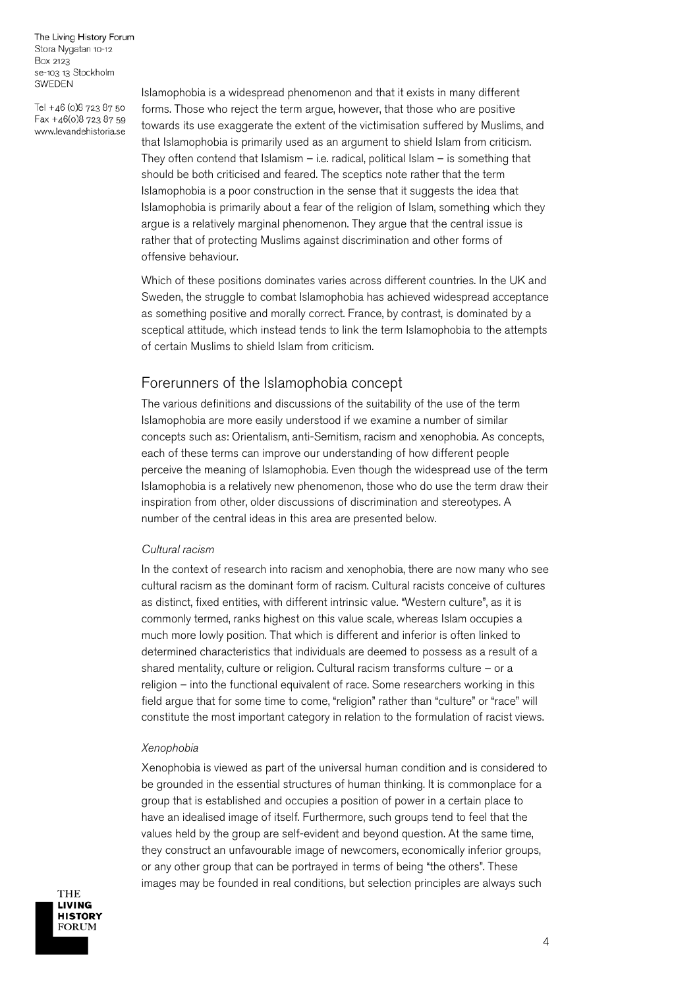Tel +46 (0)8 723 87 50 Fax +46(0)8 723 87 59 www.levandehistoria.se

Islamophobia is a widespread phenomenon and that it exists in many different forms. Those who reject the term argue, however, that those who are positive towards its use exaggerate the extent of the victimisation suffered by Muslims, and that Islamophobia is primarily used as an argument to shield Islam from criticism. They often contend that Islamism  $-$  i.e. radical, political Islam  $-$  is something that should be both criticised and feared. The sceptics note rather that the term Islamophobia is a poor construction in the sense that it suggests the idea that Islamophobia is primarily about a fear of the religion of Islam, something which they argue is a relatively marginal phenomenon. They argue that the central issue is rather that of protecting Muslims against discrimination and other forms of offensive behaviour.

Which of these positions dominates varies across different countries. In the UK and Sweden, the struggle to combat Islamophobia has achieved widespread acceptance as something positive and morally correct. France, by contrast, is dominated by a sceptical attitude, which instead tends to link the term Islamophobia to the attempts of certain Muslims to shield Islam from criticism.

## Forerunners of the Islamophobia concept

The various definitions and discussions of the suitability of the use of the term Islamophobia are more easily understood if we examine a number of similar concepts such as: Orientalism, anti-Semitism, racism and xenophobia. As concepts, each of these terms can improve our understanding of how different people perceive the meaning of Islamophobia. Even though the widespread use of the term Islamophobia is a relatively new phenomenon, those who do use the term draw their inspiration from other, older discussions of discrimination and stereotypes. A number of the central ideas in this area are presented below.

#### *Cultural racism*

In the context of research into racism and xenophobia, there are now many who see cultural racism as the dominant form of racism. Cultural racists conceive of cultures as distinct, fixed entities, with different intrinsic value. "Western culture", as it is commonly termed, ranks highest on this value scale, whereas Islam occupies a much more lowly position. That which is different and inferior is often linked to determined characteristics that individuals are deemed to possess as a result of a shared mentality, culture or religion. Cultural racism transforms culture – or a religion – into the functional equivalent of race. Some researchers working in this field argue that for some time to come, "religion" rather than "culture" or "race" will constitute the most important category in relation to the formulation of racist views.

#### *Xenophobia*

Xenophobia is viewed as part of the universal human condition and is considered to be grounded in the essential structures of human thinking. It is commonplace for a group that is established and occupies a position of power in a certain place to have an idealised image of itself. Furthermore, such groups tend to feel that the values held by the group are self-evident and beyond question. At the same time, they construct an unfavourable image of newcomers, economically inferior groups, or any other group that can be portrayed in terms of being "the others". These images may be founded in real conditions, but selection principles are always such

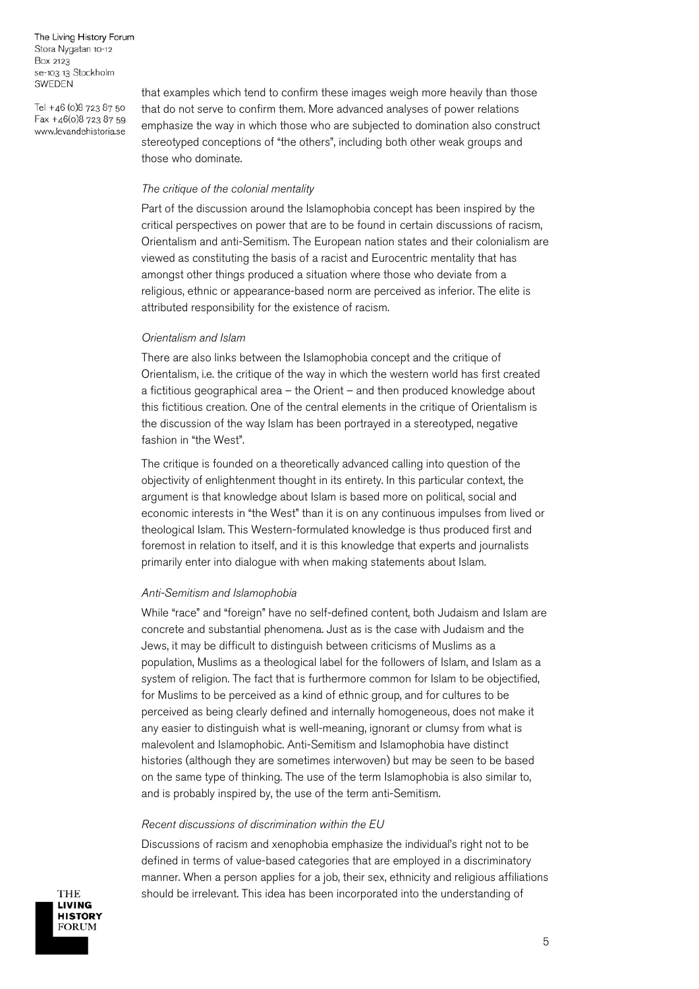Tel +46 (0)8 723 87 50 Fax +46(0)8 723 87 59 www.levandehistoria.se

that examples which tend to confirm these images weigh more heavily than those that do not serve to confirm them. More advanced analyses of power relations emphasize the way in which those who are subjected to domination also construct stereotyped conceptions of "the others", including both other weak groups and those who dominate.

#### *The critique of the colonial mentality*

Part of the discussion around the Islamophobia concept has been inspired by the critical perspectives on power that are to be found in certain discussions of racism, Orientalism and anti-Semitism. The European nation states and their colonialism are viewed as constituting the basis of a racist and Eurocentric mentality that has amongst other things produced a situation where those who deviate from a religious, ethnic or appearance-based norm are perceived as inferior. The elite is attributed responsibility for the existence of racism.

#### *Orientalism and Islam*

There are also links between the Islamophobia concept and the critique of Orientalism, i.e. the critique of the way in which the western world has first created a fictitious geographical area – the Orient – and then produced knowledge about this fictitious creation. One of the central elements in the critique of Orientalism is the discussion of the way Islam has been portrayed in a stereotyped, negative fashion in "the West".

The critique is founded on a theoretically advanced calling into question of the objectivity of enlightenment thought in its entirety. In this particular context, the argument is that knowledge about Islam is based more on political, social and economic interests in "the West" than it is on any continuous impulses from lived or theological Islam. This Western-formulated knowledge is thus produced first and foremost in relation to itself, and it is this knowledge that experts and journalists primarily enter into dialogue with when making statements about Islam.

#### *Anti-Semitism and Islamophobia*

While "race" and "foreign" have no self-defined content, both Judaism and Islam are concrete and substantial phenomena. Just as is the case with Judaism and the Jews, it may be difficult to distinguish between criticisms of Muslims as a population, Muslims as a theological label for the followers of Islam, and Islam as a system of religion. The fact that is furthermore common for Islam to be objectified, for Muslims to be perceived as a kind of ethnic group, and for cultures to be perceived as being clearly defined and internally homogeneous, does not make it any easier to distinguish what is well-meaning, ignorant or clumsy from what is malevolent and Islamophobic. Anti-Semitism and Islamophobia have distinct histories (although they are sometimes interwoven) but may be seen to be based on the same type of thinking. The use of the term Islamophobia is also similar to, and is probably inspired by, the use of the term anti-Semitism.

#### *Recent discussions of discrimination within the EU*

Discussions of racism and xenophobia emphasize the individual's right not to be defined in terms of value-based categories that are employed in a discriminatory manner. When a person applies for a job, their sex, ethnicity and religious affiliations should be irrelevant. This idea has been incorporated into the understanding of

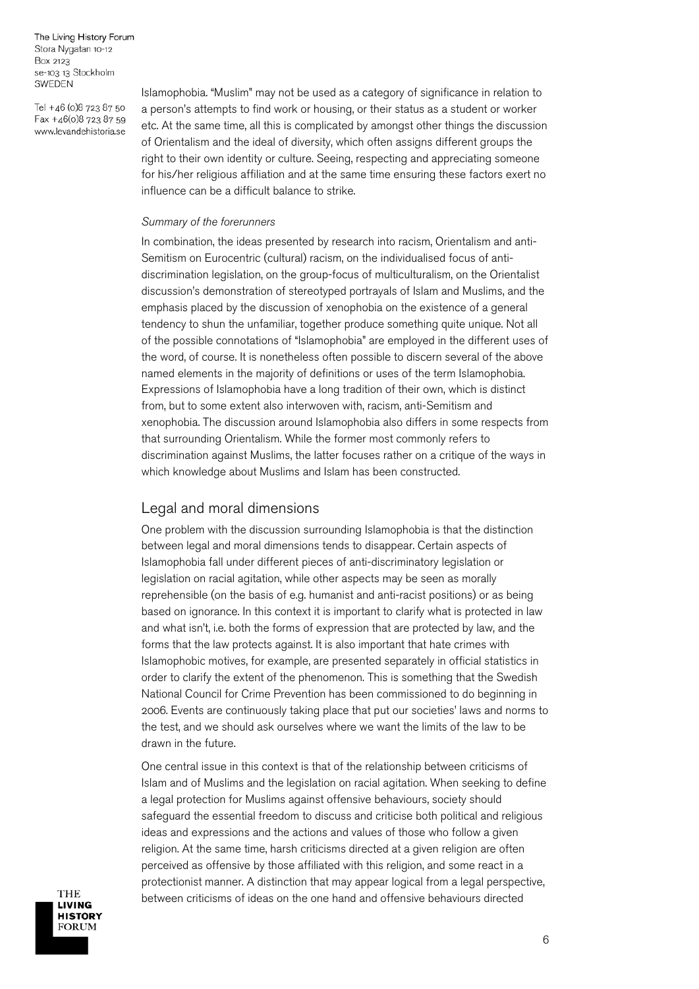Tel +46 (0)8 723 87 50 Fax +46(0)8 723 87 59 www.levandehistoria.se

Islamophobia. "Muslim" may not be used as a category of significance in relation to a person's attempts to find work or housing, or their status as a student or worker etc. At the same time, all this is complicated by amongst other things the discussion of Orientalism and the ideal of diversity, which often assigns different groups the right to their own identity or culture. Seeing, respecting and appreciating someone for his/her religious affiliation and at the same time ensuring these factors exert no influence can be a difficult balance to strike.

#### *Summary of the forerunners*

In combination, the ideas presented by research into racism, Orientalism and anti-Semitism on Eurocentric (cultural) racism, on the individualised focus of antidiscrimination legislation, on the group-focus of multiculturalism, on the Orientalist discussion's demonstration of stereotyped portrayals of Islam and Muslims, and the emphasis placed by the discussion of xenophobia on the existence of a general tendency to shun the unfamiliar, together produce something quite unique. Not all of the possible connotations of "Islamophobia" are employed in the different uses of the word, of course. It is nonetheless often possible to discern several of the above named elements in the majority of definitions or uses of the term Islamophobia. Expressions of Islamophobia have a long tradition of their own, which is distinct from, but to some extent also interwoven with, racism, anti-Semitism and xenophobia. The discussion around Islamophobia also differs in some respects from that surrounding Orientalism. While the former most commonly refers to discrimination against Muslims, the latter focuses rather on a critique of the ways in which knowledge about Muslims and Islam has been constructed.

## Legal and moral dimensions

One problem with the discussion surrounding Islamophobia is that the distinction between legal and moral dimensions tends to disappear. Certain aspects of Islamophobia fall under different pieces of anti-discriminatory legislation or legislation on racial agitation, while other aspects may be seen as morally reprehensible (on the basis of e.g. humanist and anti-racist positions) or as being based on ignorance. In this context it is important to clarify what is protected in law and what isn't, i.e. both the forms of expression that are protected by law, and the forms that the law protects against. It is also important that hate crimes with Islamophobic motives, for example, are presented separately in official statistics in order to clarify the extent of the phenomenon. This is something that the Swedish National Council for Crime Prevention has been commissioned to do beginning in 2006. Events are continuously taking place that put our societies' laws and norms to the test, and we should ask ourselves where we want the limits of the law to be drawn in the future.

One central issue in this context is that of the relationship between criticisms of Islam and of Muslims and the legislation on racial agitation. When seeking to define a legal protection for Muslims against offensive behaviours, society should safeguard the essential freedom to discuss and criticise both political and religious ideas and expressions and the actions and values of those who follow a given religion. At the same time, harsh criticisms directed at a given religion are often perceived as offensive by those affiliated with this religion, and some react in a protectionist manner. A distinction that may appear logical from a legal perspective, between criticisms of ideas on the one hand and offensive behaviours directed

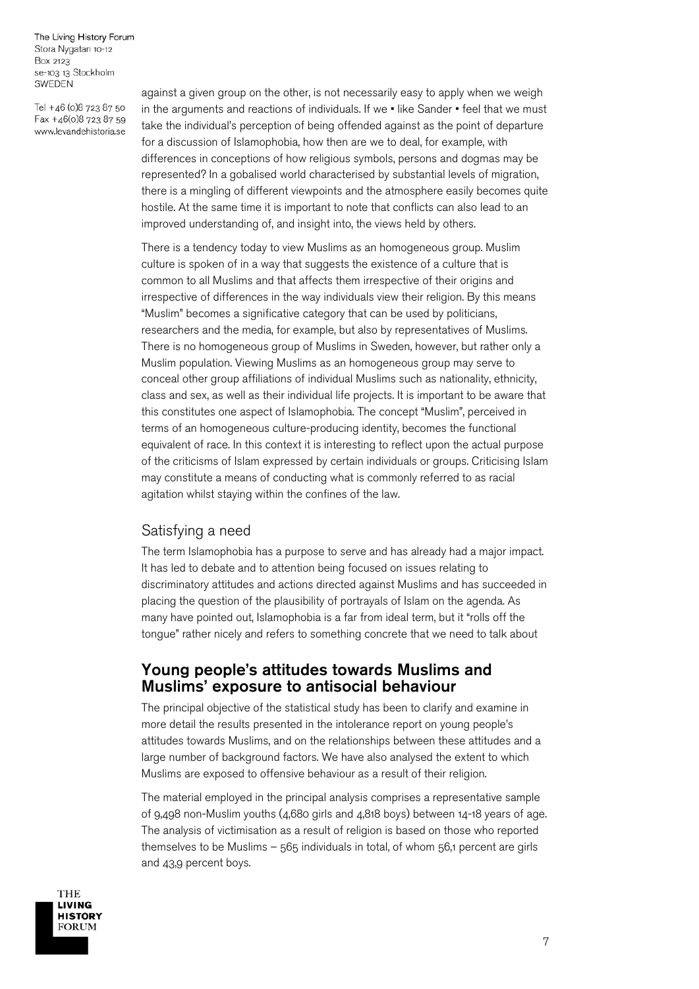Tel +46 (0)8 723 87 50 Fax +46(0)8 723 87 59 www.levandehistoria.se

against a given group on the other, is not necessarily easy to apply when we weigh in the arguments and reactions of individuals. If we • like Sander • feel that we must take the individual's perception of being offended against as the point of departure for a discussion of Islamophobia, how then are we to deal, for example, with differences in conceptions of how religious symbols, persons and dogmas may be represented? In a gobalised world characterised by substantial levels of migration, there is a mingling of different viewpoints and the atmosphere easily becomes quite hostile. At the same time it is important to note that conflicts can also lead to an improved understanding of, and insight into, the views held by others.

There is a tendency today to view Muslims as an homogeneous group. Muslim culture is spoken of in a way that suggests the existence of a culture that is common to all Muslims and that affects them irrespective of their origins and irrespective of differences in the way individuals view their religion. By this means "Muslim" becomes a significative category that can be used by politicians, researchers and the media, for example, but also by representatives of Muslims. There is no homogeneous group of Muslims in Sweden, however, but rather only a Muslim population. Viewing Muslims as an homogeneous group may serve to conceal other group affiliations of individual Muslims such as nationality, ethnicity, class and sex, as well as their individual life projects. It is important to be aware that this constitutes one aspect of Islamophobia. The concept "Muslim", perceived in terms of an homogeneous culture-producing identity, becomes the functional equivalent of race. In this context it is interesting to reflect upon the actual purpose of the criticisms of Islam expressed by certain individuals or groups. Criticising Islam may constitute a means of conducting what is commonly referred to as racial agitation whilst staying within the confines of the law.

## Satisfying a need

The term Islamophobia has a purpose to serve and has already had a major impact. It has led to debate and to attention being focused on issues relating to discriminatory attitudes and actions directed against Muslims and has succeeded in placing the question of the plausibility of portrayals of Islam on the agenda. As many have pointed out, Islamophobia is a far from ideal term, but it "rolls off the tongue" rather nicely and refers to something concrete that we need to talk about

## Young people's attitudes towards Muslims and Muslims' exposure to antisocial behaviour

The principal objective of the statistical study has been to clarify and examine in more detail the results presented in the intolerance report on young people's attitudes towards Muslims, and on the relationships between these attitudes and a large number of background factors. We have also analysed the extent to which Muslims are exposed to offensive behaviour as a result of their religion.

The material employed in the principal analysis comprises a representative sample of 9,498 non-Muslim youths (4,680 girls and 4,818 boys) between 14-18 years of age. The analysis of victimisation as a result of religion is based on those who reported themselves to be Muslims – 565 individuals in total, of whom 56,1 percent are girls and 43,9 percent boys.

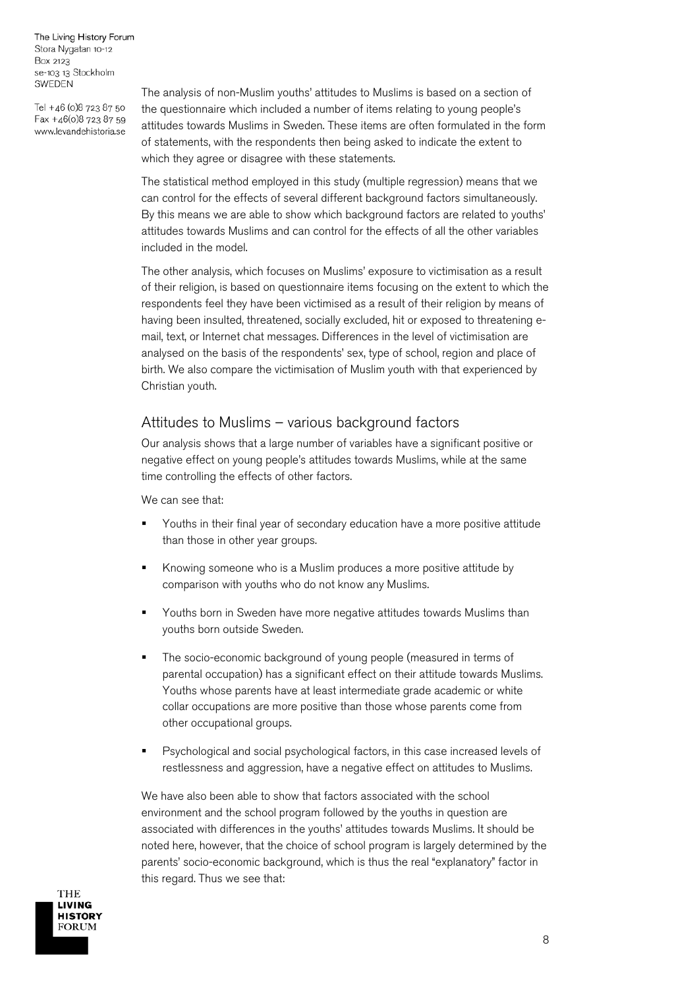Tel +46 (0)8 723 87 50 Fax +46(0)8 723 87 59 www.levandehistoria.se

The analysis of non-Muslim youths' attitudes to Muslims is based on a section of the questionnaire which included a number of items relating to young people's attitudes towards Muslims in Sweden. These items are often formulated in the form of statements, with the respondents then being asked to indicate the extent to which they agree or disagree with these statements.

The statistical method employed in this study (multiple regression) means that we can control for the effects of several different background factors simultaneously. By this means we are able to show which background factors are related to youths' attitudes towards Muslims and can control for the effects of all the other variables included in the model.

The other analysis, which focuses on Muslims' exposure to victimisation as a result of their religion, is based on questionnaire items focusing on the extent to which the respondents feel they have been victimised as a result of their religion by means of having been insulted, threatened, socially excluded, hit or exposed to threatening email, text, or Internet chat messages. Differences in the level of victimisation are analysed on the basis of the respondents' sex, type of school, region and place of birth. We also compare the victimisation of Muslim youth with that experienced by Christian youth.

## Attitudes to Muslims – various background factors

Our analysis shows that a large number of variables have a significant positive or negative effect on young people's attitudes towards Muslims, while at the same time controlling the effects of other factors.

We can see that:

- Youths in their final year of secondary education have a more positive attitude than those in other year groups.
- Knowing someone who is a Muslim produces a more positive attitude by comparison with youths who do not know any Muslims.
- Youths born in Sweden have more negative attitudes towards Muslims than youths born outside Sweden.
- The socio-economic background of young people (measured in terms of parental occupation) has a significant effect on their attitude towards Muslims. Youths whose parents have at least intermediate grade academic or white collar occupations are more positive than those whose parents come from other occupational groups.
- **Psychological and social psychological factors, in this case increased levels of** restlessness and aggression, have a negative effect on attitudes to Muslims.

We have also been able to show that factors associated with the school environment and the school program followed by the youths in question are associated with differences in the youths' attitudes towards Muslims. It should be noted here, however, that the choice of school program is largely determined by the parents' socio-economic background, which is thus the real "explanatory" factor in this regard. Thus we see that:

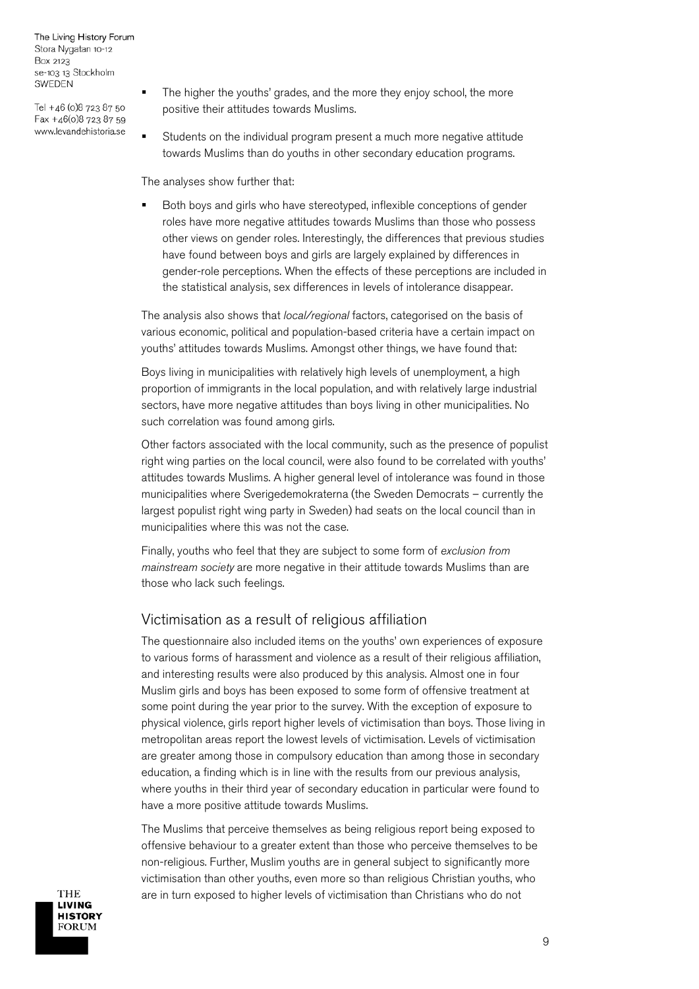Tel +46 (0)8 723 87 50 Fax +46(0)8 723 87 59 www.levandehistoria.se

- The higher the youths' grades, and the more they enjoy school, the more positive their attitudes towards Muslims.
- Students on the individual program present a much more negative attitude towards Muslims than do youths in other secondary education programs.

The analyses show further that:

 Both boys and girls who have stereotyped, inflexible conceptions of gender roles have more negative attitudes towards Muslims than those who possess other views on gender roles. Interestingly, the differences that previous studies have found between boys and girls are largely explained by differences in gender-role perceptions. When the effects of these perceptions are included in the statistical analysis, sex differences in levels of intolerance disappear.

The analysis also shows that *local/regional* factors, categorised on the basis of various economic, political and population-based criteria have a certain impact on youths' attitudes towards Muslims. Amongst other things, we have found that:

Boys living in municipalities with relatively high levels of unemployment, a high proportion of immigrants in the local population, and with relatively large industrial sectors, have more negative attitudes than boys living in other municipalities. No such correlation was found among girls.

Other factors associated with the local community, such as the presence of populist right wing parties on the local council, were also found to be correlated with youths' attitudes towards Muslims. A higher general level of intolerance was found in those municipalities where Sverigedemokraterna (the Sweden Democrats – currently the largest populist right wing party in Sweden) had seats on the local council than in municipalities where this was not the case.

Finally, youths who feel that they are subject to some form of *exclusion from mainstream society* are more negative in their attitude towards Muslims than are those who lack such feelings.

## Victimisation as a result of religious affiliation

The questionnaire also included items on the youths' own experiences of exposure to various forms of harassment and violence as a result of their religious affiliation, and interesting results were also produced by this analysis. Almost one in four Muslim girls and boys has been exposed to some form of offensive treatment at some point during the year prior to the survey. With the exception of exposure to physical violence, girls report higher levels of victimisation than boys. Those living in metropolitan areas report the lowest levels of victimisation. Levels of victimisation are greater among those in compulsory education than among those in secondary education, a finding which is in line with the results from our previous analysis, where youths in their third year of secondary education in particular were found to have a more positive attitude towards Muslims.

The Muslims that perceive themselves as being religious report being exposed to offensive behaviour to a greater extent than those who perceive themselves to be non-religious. Further, Muslim youths are in general subject to significantly more victimisation than other youths, even more so than religious Christian youths, who are in turn exposed to higher levels of victimisation than Christians who do not